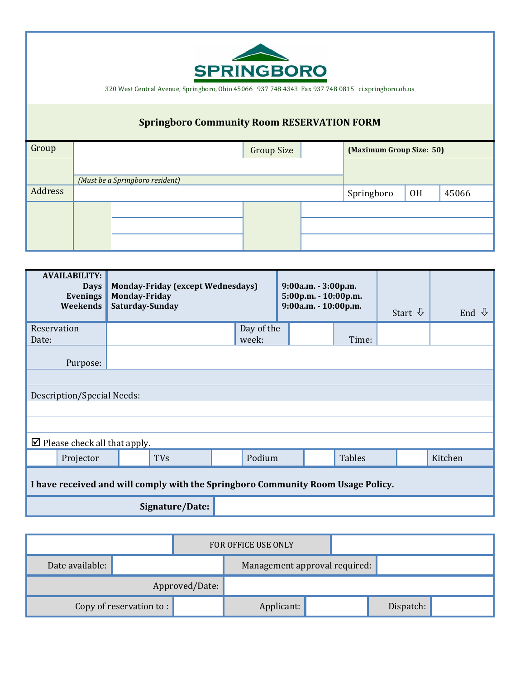

320 West Central Avenue, Springboro, Ohio 45066 937 748 4343 Fax 937 748 0815 ci.springboro.oh.us

# **Springboro Community Room RESERVATION FORM**

| Group   |                                 | (Maximum Group Size: 50) |    |       |  |
|---------|---------------------------------|--------------------------|----|-------|--|
|         | (Must be a Springboro resident) |                          |    |       |  |
| Address |                                 | Springboro               | 0H | 45066 |  |
|         |                                 |                          |    |       |  |
|         |                                 |                          |    |       |  |
|         |                                 |                          |    |       |  |

| <b>AVAILABILITY:</b><br><b>Days</b><br>Evenings<br>Weekends                      | <b>Monday-Friday (except Wednesdays)</b><br><b>Monday-Friday</b><br>Saturday-Sunday |            | 9:00a.m. - 3:00p.m.<br>5:00p.m. - 10:00p.m.<br>9:00a.m. - 10:00p.m. |  | Start $\sqrt{1}$ | End $\mathcal{Q}$ |  |         |  |
|----------------------------------------------------------------------------------|-------------------------------------------------------------------------------------|------------|---------------------------------------------------------------------|--|------------------|-------------------|--|---------|--|
| Reservation                                                                      |                                                                                     |            | Day of the                                                          |  |                  |                   |  |         |  |
| Date:                                                                            |                                                                                     |            | week:                                                               |  |                  | Time:             |  |         |  |
| Purpose:                                                                         |                                                                                     |            |                                                                     |  |                  |                   |  |         |  |
|                                                                                  |                                                                                     |            |                                                                     |  |                  |                   |  |         |  |
| Description/Special Needs:                                                       |                                                                                     |            |                                                                     |  |                  |                   |  |         |  |
|                                                                                  |                                                                                     |            |                                                                     |  |                  |                   |  |         |  |
|                                                                                  |                                                                                     |            |                                                                     |  |                  |                   |  |         |  |
| $\triangleright$ Please check all that apply.                                    |                                                                                     |            |                                                                     |  |                  |                   |  |         |  |
| Projector                                                                        |                                                                                     | <b>TVs</b> | Podium                                                              |  |                  | Tables            |  | Kitchen |  |
| I have received and will comply with the Springboro Community Room Usage Policy. |                                                                                     |            |                                                                     |  |                  |                   |  |         |  |
| Signature/Date:                                                                  |                                                                                     |            |                                                                     |  |                  |                   |  |         |  |

|                          |                | FOR OFFICE USE ONLY |                               |  |  |           |  |
|--------------------------|----------------|---------------------|-------------------------------|--|--|-----------|--|
| Date available:          |                |                     | Management approval required: |  |  |           |  |
|                          | Approved/Date: |                     |                               |  |  |           |  |
| Copy of reservation to : |                |                     | Applicant:                    |  |  | Dispatch: |  |